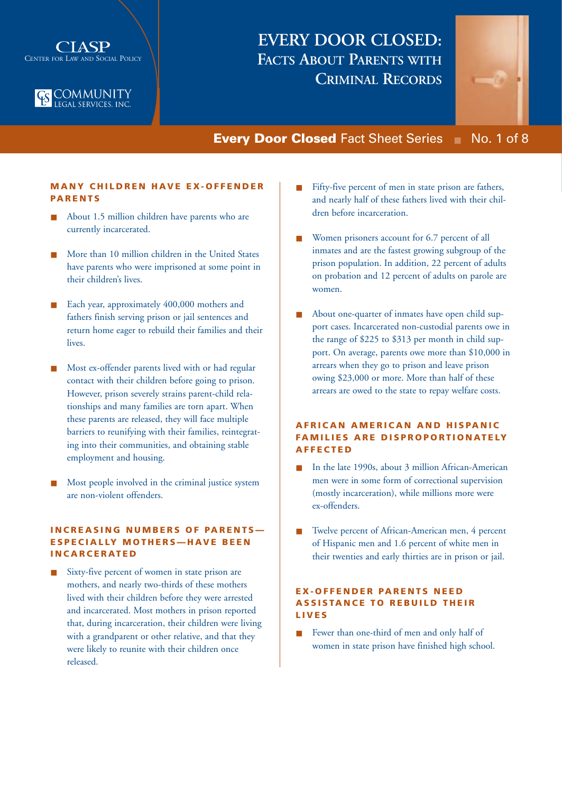



## **EVERY DOOR CLOSED: FACTS ABOUT PARENTS WITH CRIMINAL RECORDS**



## **Every Door Closed** Fact Sheet Series ■ No. 1 of 8

## **MANY CHILDREN HAVE EX-OFFENDER PA RENTS**

- About 1.5 million children have parents who are currently incarcerated.
- More than 10 million children in the United States have parents who were imprisoned at some point in their children's lives.
- Each year, approximately 400,000 mothers and fathers finish serving prison or jail sentences and return home eager to rebuild their families and their lives.
- Most ex-offender parents lived with or had regular contact with their children before going to prison. However, prison severely strains parent-child relationships and many families are torn apart. When these parents are released, they will face multiple barriers to reunifying with their families, reintegrating into their communities, and obtaining stable employment and housing.
- Most people involved in the criminal justice system are non-violent offenders.

## **INCREASING NUMBERS OF PARENTS— ESPECIALLY MOTHERS—HAVE BEEN INCARCERATED**

Sixty-five percent of women in state prison are mothers, and nearly two-thirds of these mothers lived with their children before they were arrested and incarcerated. Most mothers in prison reported that, during incarceration, their children were living with a grandparent or other relative, and that they were likely to reunite with their children once released.

- Fifty-five percent of men in state prison are fathers, and nearly half of these fathers lived with their children before incarceration.
- Women prisoners account for 6.7 percent of all inmates and are the fastest growing subgroup of the prison population. In addition, 22 percent of adults on probation and 12 percent of adults on parole are women.
- About one-quarter of inmates have open child support cases. Incarcerated non-custodial parents owe in the range of \$225 to \$313 per month in child support. On average, parents owe more than \$10,000 in arrears when they go to prison and leave prison owing \$23,000 or more. More than half of these arrears are owed to the state to repay welfare costs.

## **AFRICAN AMERICAN AND HISPANIC FA MILIES ARE DISPROPORTIONATELY AFFECTED**

- In the late 1990s, about 3 million African-American men were in some form of correctional supervision (mostly incarceration), while millions more were ex-offenders.
- Twelve percent of African-American men, 4 percent of Hispanic men and 1.6 percent of white men in their twenties and early thirties are in prison or jail.

## **EX-OFFENDER PARENTS NEED ASSISTANCE TO REBUILD THEIR LIVES**

■ Fewer than one-third of men and only half of women in state prison have finished high school.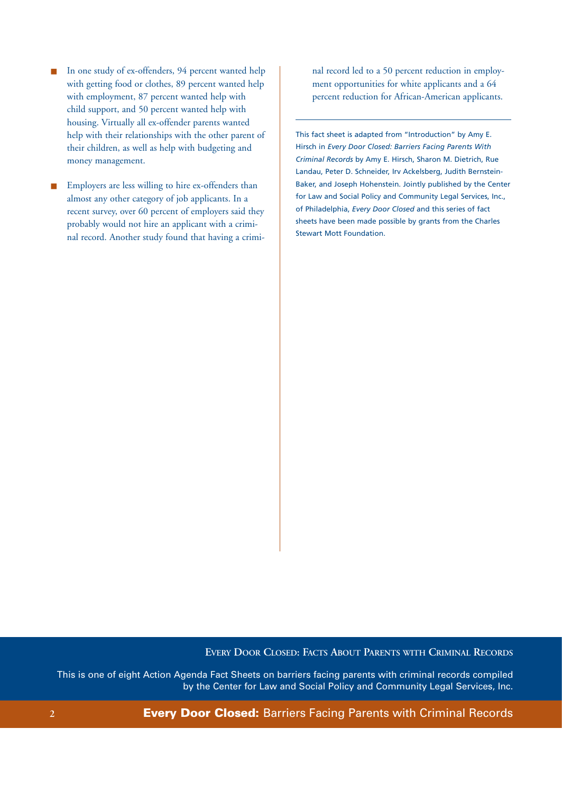- In one study of ex-offenders, 94 percent wanted help with getting food or clothes, 89 percent wanted help with employment, 87 percent wanted help with child support, and 50 percent wanted help with housing. Virtually all ex-offender parents wanted help with their relationships with the other parent of their children, as well as help with budgeting and money management.
- Employers are less willing to hire ex-offenders than almost any other category of job applicants. In a recent survey, over 60 percent of employers said they probably would not hire an applicant with a criminal record. Another study found that having a crimi-

nal record led to a 50 percent reduction in employment opportunities for white applicants and a 64 percent reduction for African-American applicants.

This fact sheet is adapted from "Introduction" by Amy E. Hirsch in *Every Door Closed: Barriers Facing Parents With Criminal Records* by Amy E. Hirsch, Sharon M. Dietrich, Rue Landau, Peter D. Schneider, Irv Ackelsberg, Judith Bernstein-Baker, and Joseph Hohenstein. Jointly published by the Center for Law and Social Policy and Community Legal Services, Inc., of Philadelphia, *Every Door Closed* and this series of fact sheets have been made possible by grants from the Charles Stewart Mott Foundation.

## **EVERY DOOR CLOSED: FACTS ABOUT PARENTS WITH CRIMINAL RECORDS**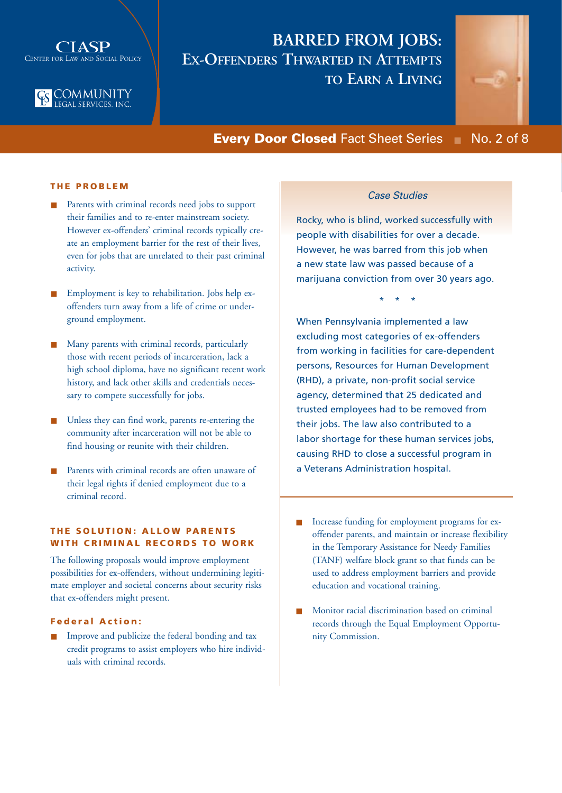



## **BARRED FROM JOBS: EX-OFFENDERS THWARTED IN ATTEMPTS TO EARN A LIVING**



**Every Door Closed** Fact Sheet Series ■ No. 2 of 8

## **THE PROBLEM**

- Parents with criminal records need jobs to support their families and to re-enter mainstream society. However ex-offenders' criminal records typically create an employment barrier for the rest of their lives, even for jobs that are unrelated to their past criminal activity.
- Employment is key to rehabilitation. Jobs help exoffenders turn away from a life of crime or underground employment.
- Many parents with criminal records, particularly those with recent periods of incarceration, lack a high school diploma, have no significant recent work history, and lack other skills and credentials necessary to compete successfully for jobs.
- Unless they can find work, parents re-entering the community after incarceration will not be able to find housing or reunite with their children.
- Parents with criminal records are often unaware of their legal rights if denied employment due to a criminal record.

## **THE SOLUTION: ALLOW PARENTS WITH CRIMINAL RECORDS TO WORK**

The following proposals would improve employment possibilities for ex-offenders, without undermining legitimate employer and societal concerns about security risks that ex-offenders might present.

## **Federal Action:**

Improve and publicize the federal bonding and tax credit programs to assist employers who hire individuals with criminal records.

## *Case Studies*

Rocky, who is blind, worked successfully with people with disabilities for over a decade. However, he was barred from this job when a new state law was passed because of a marijuana conviction from over 30 years ago.

\* \* \*

When Pennsylvania implemented a law excluding most categories of ex-offenders from working in facilities for care-dependent persons, Resources for Human Development (RHD), a private, non-profit social service agency, determined that 25 dedicated and trusted employees had to be removed from their jobs. The law also contributed to a labor shortage for these human services jobs, causing RHD to close a successful program in a Veterans Administration hospital.

- Increase funding for employment programs for exoffender parents, and maintain or increase flexibility in the Temporary Assistance for Needy Families (TANF) welfare block grant so that funds can be used to address employment barriers and provide education and vocational training.
- Monitor racial discrimination based on criminal records through the Equal Employment Opportunity Commission.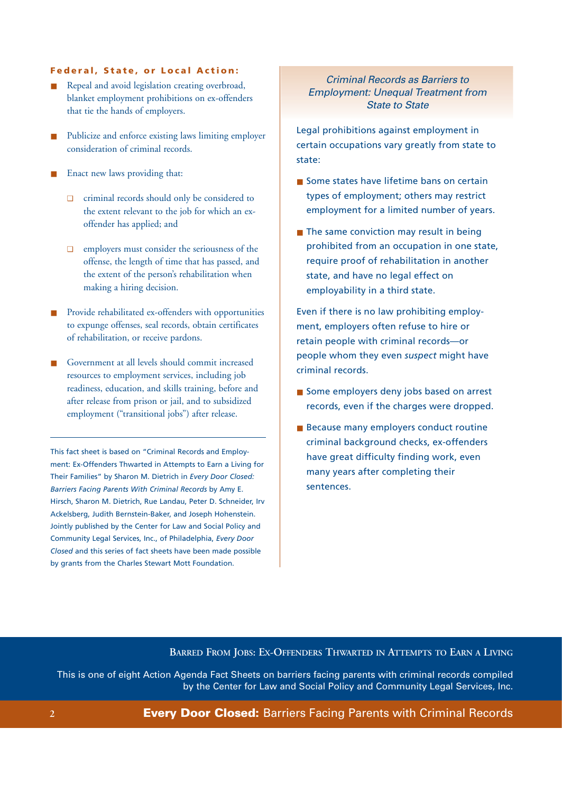### **Federal, State, or Local Action:**

- Repeal and avoid legislation creating overbroad, blanket employment prohibitions on ex-offenders that tie the hands of employers.
- Publicize and enforce existing laws limiting employer consideration of criminal records.
- Enact new laws providing that:
	- ❑ criminal records should only be considered to the extent relevant to the job for which an exoffender has applied; and
	- ❑ employers must consider the seriousness of the offense, the length of time that has passed, and the extent of the person's rehabilitation when making a hiring decision.
- Provide rehabilitated ex-offenders with opportunities to expunge offenses, seal records, obtain certificates of rehabilitation, or receive pardons.
- Government at all levels should commit increased resources to employment services, including job readiness, education, and skills training, before and after release from prison or jail, and to subsidized employment ("transitional jobs") after release.

This fact sheet is based on "Criminal Records and Employment: Ex-Offenders Thwarted in Attempts to Earn a Living for Their Families" by Sharon M. Dietrich in *Every Door Closed: Barriers Facing Parents With Criminal Records* by Amy E. Hirsch, Sharon M. Dietrich, Rue Landau, Peter D. Schneider, Irv Ackelsberg, Judith Bernstein-Baker, and Joseph Hohenstein. Jointly published by the Center for Law and Social Policy and Community Legal Services, Inc., of Philadelphia, *Every Door Closed* and this series of fact sheets have been made possible by grants from the Charles Stewart Mott Foundation.

## *Criminal Records as Barriers to Employment: Unequal Treatment from State to State*

Legal prohibitions against employment in certain occupations vary greatly from state to state:

- Some states have lifetime bans on certain types of employment; others may restrict employment for a limited number of years.
- The same conviction may result in being prohibited from an occupation in one state, require proof of rehabilitation in another state, and have no legal effect on employability in a third state.

Even if there is no law prohibiting employment, employers often refuse to hire or retain people with criminal records—or people whom they even *suspect* might have criminal records.

- Some employers deny jobs based on arrest records, even if the charges were dropped.
- Because many employers conduct routine criminal background checks, ex-offenders have great difficulty finding work, even many years after completing their sentences.

## **BARRED FROM JOBS: EX-OFFENDERS THWARTED IN ATTEMPTS TO EARN A LIVING**

This is one of eight Action Agenda Fact Sheets on barriers facing parents with criminal records compiled by the Center for Law and Social Policy and Community Legal Services, Inc.

## **2 Every Door Closed:** Barriers Facing Parents with Criminal Records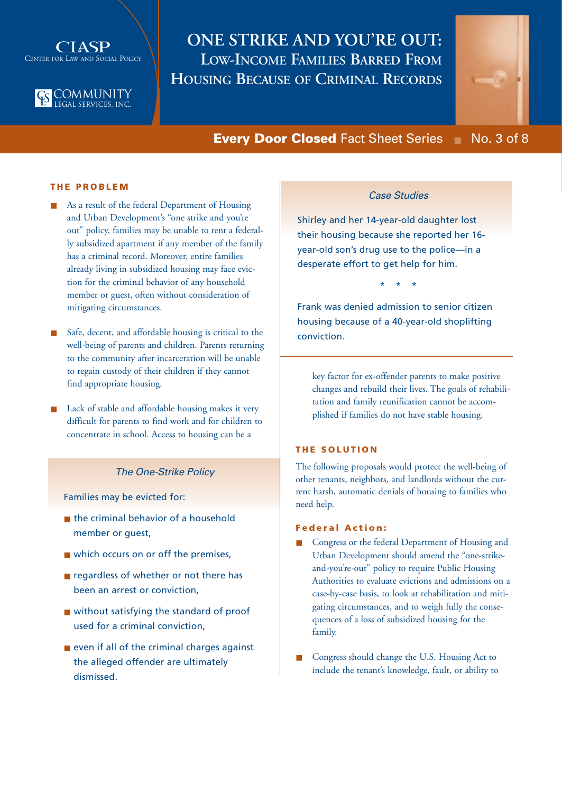



## **ONE STRIKE AND YOU'RE OUT: LOW-INCOME FAMILIES BARRED FROM HOUSING BECAUSE OF CRIMINAL RECORDS**



**Every Door Closed** Fact Sheet Series ■ No. 3 of 8

## **THE PROBLEM**

- As a result of the federal Department of Housing and Urban Development's "one strike and you're out" policy, families may be unable to rent a federally subsidized apartment if any member of the family has a criminal record. Moreover, entire families already living in subsidized housing may face eviction for the criminal behavior of any household member or guest, often without consideration of mitigating circumstances.
- Safe, decent, and affordable housing is critical to the well-being of parents and children. Parents returning to the community after incarceration will be unable to regain custody of their children if they cannot find appropriate housing.
- Lack of stable and affordable housing makes it very difficult for parents to find work and for children to concentrate in school. Access to housing can be a

### *The One-Strike Policy*

Families may be evicted for:

- the criminal behavior of a household member or quest.
- which occurs on or off the premises,
- regardless of whether or not there has been an arrest or conviction,
- without satisfying the standard of proof used for a criminal conviction,
- even if all of the criminal charges against the alleged offender are ultimately dismissed.

## *Case Studies*

Shirley and her 14-year-old daughter lost their housing because she reported her 16 year-old son's drug use to the police—in a desperate effort to get help for him.

\* \* \*

Frank was denied admission to senior citizen housing because of a 40-year-old shoplifting conviction.

key factor for ex-offender parents to make positive changes and rebuild their lives. The goals of rehabilitation and family reunification cannot be accomplished if families do not have stable housing.

### **THE SOLUTION**

The following proposals would protect the well-being of other tenants, neighbors, and landlords without the current harsh, automatic denials of housing to families who need help.

### **Federal Action:**

- Congress or the federal Department of Housing and Urban Development should amend the "one-strikeand-you're-out" policy to require Public Housing Authorities to evaluate evictions and admissions on a case-by-case basis, to look at rehabilitation and mitigating circumstances, and to weigh fully the consequences of a loss of subsidized housing for the family.
- Congress should change the U.S. Housing Act to include the tenant's knowledge, fault, or ability to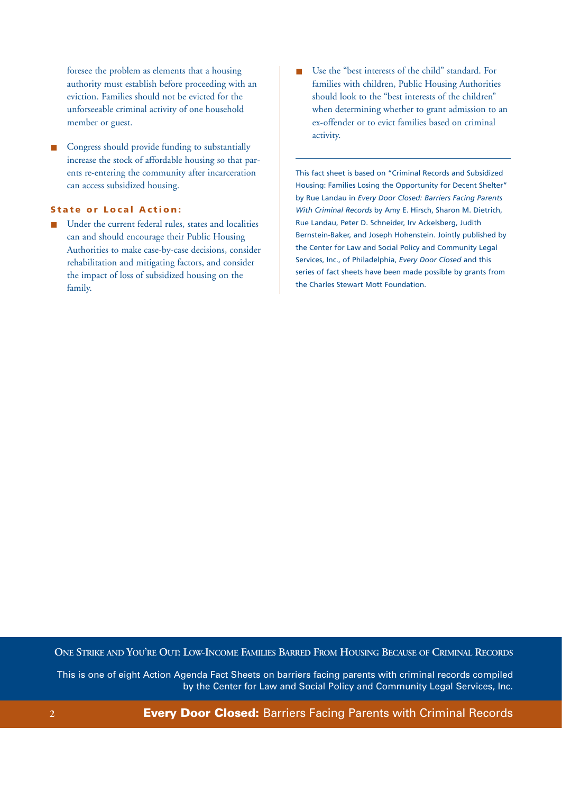foresee the problem as elements that a housing authority must establish before proceeding with an eviction. Families should not be evicted for the unforseeable criminal activity of one household member or guest.

Congress should provide funding to substantially increase the stock of affordable housing so that parents re-entering the community after incarceration can access subsidized housing.

### **State or Local Action:**

Under the current federal rules, states and localities can and should encourage their Public Housing Authorities to make case-by-case decisions, consider rehabilitation and mitigating factors, and consider the impact of loss of subsidized housing on the family.

Use the "best interests of the child" standard. For families with children, Public Housing Authorities should look to the "best interests of the children" when determining whether to grant admission to an ex-offender or to evict families based on criminal activity.

This fact sheet is based on "Criminal Records and Subsidized Housing: Families Losing the Opportunity for Decent Shelter" by Rue Landau in *Every Door Closed: Barriers Facing Parents With Criminal Records* by Amy E. Hirsch, Sharon M. Dietrich, Rue Landau, Peter D. Schneider, Irv Ackelsberg, Judith Bernstein-Baker, and Joseph Hohenstein. Jointly published by the Center for Law and Social Policy and Community Legal Services, Inc., of Philadelphia, *Every Door Closed* and this series of fact sheets have been made possible by grants from the Charles Stewart Mott Foundation.

**ONE STRIKE AND YOU'RE OUT: LOW-INCOME FAMILIES BARRED FROM HOUSING BECAUSE OF CRIMINAL RECORDS**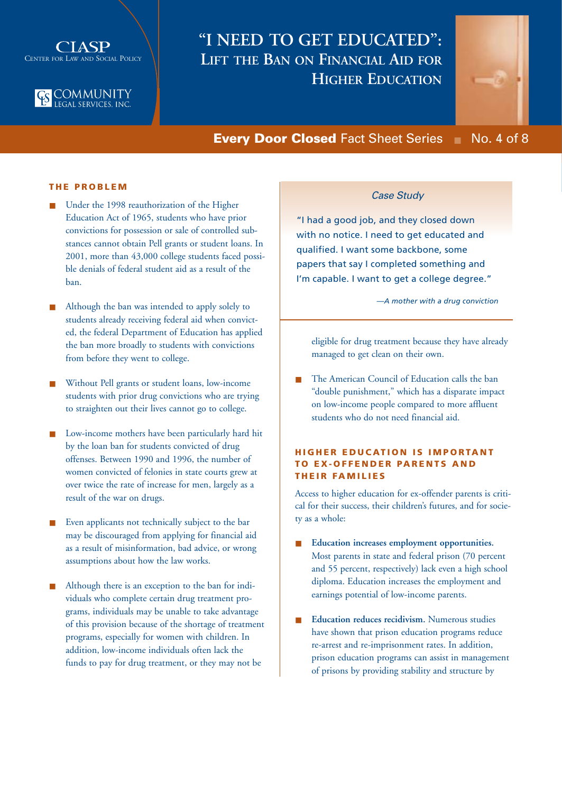



## **"I NEED TO GET EDUCATED": LIFT THE BAN ON FINANCIAL AID FOR HIGHER EDUCATION**



## **Every Door Closed** Fact Sheet Series ■ No. 4 of 8

## **THE PROBLEM**

- Under the 1998 reauthorization of the Higher Education Act of 1965, students who have prior convictions for possession or sale of controlled substances cannot obtain Pell grants or student loans. In 2001, more than 43,000 college students faced possible denials of federal student aid as a result of the ban.
- Although the ban was intended to apply solely to students already receiving federal aid when convicted, the federal Department of Education has applied the ban more broadly to students with convictions from before they went to college.
- Without Pell grants or student loans, low-income students with prior drug convictions who are trying to straighten out their lives cannot go to college.
- Low-income mothers have been particularly hard hit by the loan ban for students convicted of drug offenses. Between 1990 and 1996, the number of women convicted of felonies in state courts grew at over twice the rate of increase for men, largely as a result of the war on drugs.
- Even applicants not technically subject to the bar may be discouraged from applying for financial aid as a result of misinformation, bad advice, or wrong assumptions about how the law works.
- Although there is an exception to the ban for individuals who complete certain drug treatment programs, individuals may be unable to take advantage of this provision because of the shortage of treatment programs, especially for women with children. In addition, low-income individuals often lack the funds to pay for drug treatment, or they may not be

## *Case Study*

"I had a good job, and they closed down with no notice. I need to get educated and qualified. I want some backbone, some papers that say I completed something and I'm capable. I want to get a college degree."

*—A mother with a drug conviction*

eligible for drug treatment because they have already managed to get clean on their own.

The American Council of Education calls the ban "double punishment," which has a disparate impact on low-income people compared to more affluent students who do not need financial aid.

## **HIGHER EDUCATION IS IMPORTANT TO EX-OFFENDER PARENTS AND THEIR FAMILIES**

Access to higher education for ex-offender parents is critical for their success, their children's futures, and for society as a whole:

- **Education increases employment opportunities.** Most parents in state and federal prison (70 percent and 55 percent, respectively) lack even a high school diploma. Education increases the employment and earnings potential of low-income parents.
- **Education reduces recidivism.** Numerous studies have shown that prison education programs reduce re-arrest and re-imprisonment rates. In addition, prison education programs can assist in management of prisons by providing stability and structure by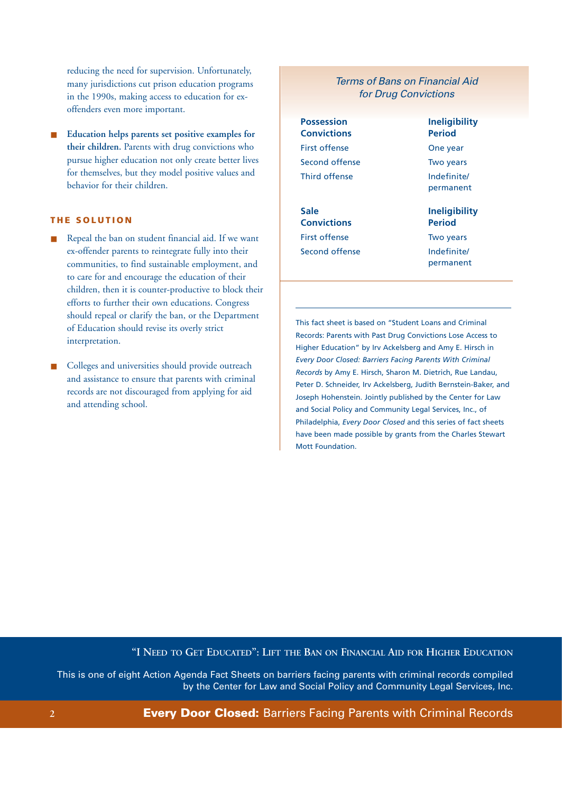reducing the need for supervision. Unfortunately, many jurisdictions cut prison education programs in the 1990s, making access to education for exoffenders even more important.

Education helps parents set positive examples for **their children.** Parents with drug convictions who pursue higher education not only create better lives for themselves, but they model positive values and behavior for their children.

#### **THE SOLUTION**

- Repeal the ban on student financial aid. If we want ex-offender parents to reintegrate fully into their communities, to find sustainable employment, and to care for and encourage the education of their children, then it is counter-productive to block their efforts to further their own educations. Congress should repeal or clarify the ban, or the Department of Education should revise its overly strict interpretation.
- Colleges and universities should provide outreach and assistance to ensure that parents with criminal records are not discouraged from applying for aid and attending school.

## *Terms of Bans on Financial Aid for Drug Convictions*

**Possession Ineligibility Convictions Period** First offense **One year** Second offense Two years Third offense Third offense

**Sale Ineligibility Convictions Period** First offense Two years Second offense **Indefinite** 

permanent

permanent

This fact sheet is based on "Student Loans and Criminal Records: Parents with Past Drug Convictions Lose Access to Higher Education" by Irv Ackelsberg and Amy E. Hirsch in *Every Door Closed: Barriers Facing Parents With Criminal Records* by Amy E. Hirsch, Sharon M. Dietrich, Rue Landau, Peter D. Schneider, Irv Ackelsberg, Judith Bernstein-Baker, and Joseph Hohenstein. Jointly published by the Center for Law and Social Policy and Community Legal Services, Inc., of Philadelphia, *Every Door Closed* and this series of fact sheets have been made possible by grants from the Charles Stewart Mott Foundation.

## **"I NEED TO GET EDUCATED": LIFT THE BAN ON FINANCIAL AID FOR HIGHER EDUCATION**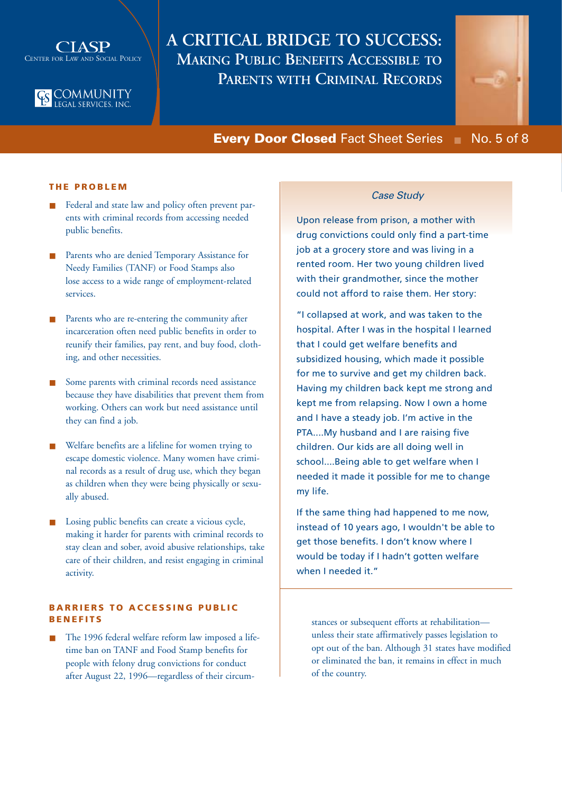



## **A CRITICAL BRIDGE TO SUCCESS: MAKING PUBLIC BENEFITS ACCESSIBLE TO PARENTS WITH CRIMINAL RECORDS**



## **Every Door Closed** Fact Sheet Series ■ No. 5 of 8

#### **THE PROBLEM**

- Federal and state law and policy often prevent parents with criminal records from accessing needed public benefits.
- Parents who are denied Temporary Assistance for Needy Families (TANF) or Food Stamps also lose access to a wide range of employment-related services.
- Parents who are re-entering the community after incarceration often need public benefits in order to reunify their families, pay rent, and buy food, clothing, and other necessities.
- Some parents with criminal records need assistance because they have disabilities that prevent them from working. Others can work but need assistance until they can find a job.
- Welfare benefits are a lifeline for women trying to escape domestic violence. Many women have criminal records as a result of drug use, which they began as children when they were being physically or sexually abused.
- Losing public benefits can create a vicious cycle, making it harder for parents with criminal records to stay clean and sober, avoid abusive relationships, take care of their children, and resist engaging in criminal activity.

## **BARRIERS TO ACCESSING PUBLIC BENEFITS**

The 1996 federal welfare reform law imposed a lifetime ban on TANF and Food Stamp benefits for people with felony drug convictions for conduct after August 22, 1996—regardless of their circum-

## *Case Study*

Upon release from prison, a mother with drug convictions could only find a part-time job at a grocery store and was living in a rented room. Her two young children lived with their grandmother, since the mother could not afford to raise them. Her story:

"I collapsed at work, and was taken to the hospital. After I was in the hospital I learned that I could get welfare benefits and subsidized housing, which made it possible for me to survive and get my children back. Having my children back kept me strong and kept me from relapsing. Now I own a home and I have a steady job. I'm active in the PTA....My husband and I are raising five children. Our kids are all doing well in school....Being able to get welfare when I needed it made it possible for me to change my life.

If the same thing had happened to me now, instead of 10 years ago, I wouldn't be able to get those benefits. I don't know where I would be today if I hadn't gotten welfare when I needed it."

stances or subsequent efforts at rehabilitation unless their state affirmatively passes legislation to opt out of the ban. Although 31 states have modified or eliminated the ban, it remains in effect in much of the country.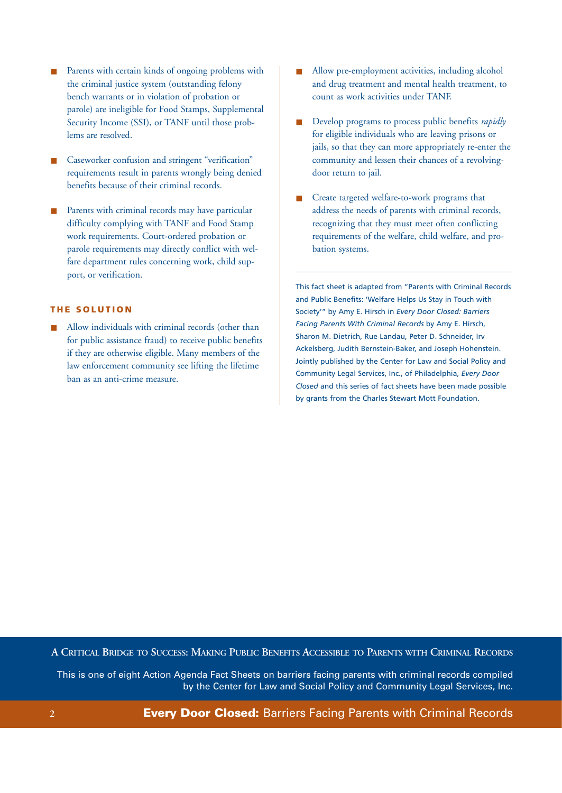- Parents with certain kinds of ongoing problems with the criminal justice system (outstanding felony bench warrants or in violation of probation or parole) are ineligible for Food Stamps, Supplemental Security Income (SSI), or TANF until those problems are resolved.
- Caseworker confusion and stringent "verification" requirements result in parents wrongly being denied benefits because of their criminal records.
- Parents with criminal records may have particular difficulty complying with TANF and Food Stamp work requirements. Court-ordered probation or parole requirements may directly conflict with welfare department rules concerning work, child support, or verification.

## **THE SOLUTION**

Allow individuals with criminal records (other than for public assistance fraud) to receive public benefits if they are otherwise eligible. Many members of the law enforcement community see lifting the lifetime ban as an anti-crime measure.

- Allow pre-employment activities, including alcohol and drug treatment and mental health treatment, to count as work activities under TANF.
- Develop programs to process public benefits *rapidly* for eligible individuals who are leaving prisons or jails, so that they can more appropriately re-enter the community and lessen their chances of a revolvingdoor return to jail.
- Create targeted welfare-to-work programs that address the needs of parents with criminal records, recognizing that they must meet often conflicting requirements of the welfare, child welfare, and probation systems.

This fact sheet is adapted from "Parents with Criminal Records and Public Benefits: 'Welfare Helps Us Stay in Touch with Society'" by Amy E. Hirsch in *Every Door Closed: Barriers Facing Parents With Criminal Records* by Amy E. Hirsch, Sharon M. Dietrich, Rue Landau, Peter D. Schneider, Irv Ackelsberg, Judith Bernstein-Baker, and Joseph Hohenstein. Jointly published by the Center for Law and Social Policy and Community Legal Services, Inc., of Philadelphia, *Every Door Closed* and this series of fact sheets have been made possible by grants from the Charles Stewart Mott Foundation.

**A CRITICAL BRIDGE TO SUCCESS: MAKING PUBLIC BENEFITS ACCESSIBLE TO PARENTS WITH CRIMINAL RECORDS**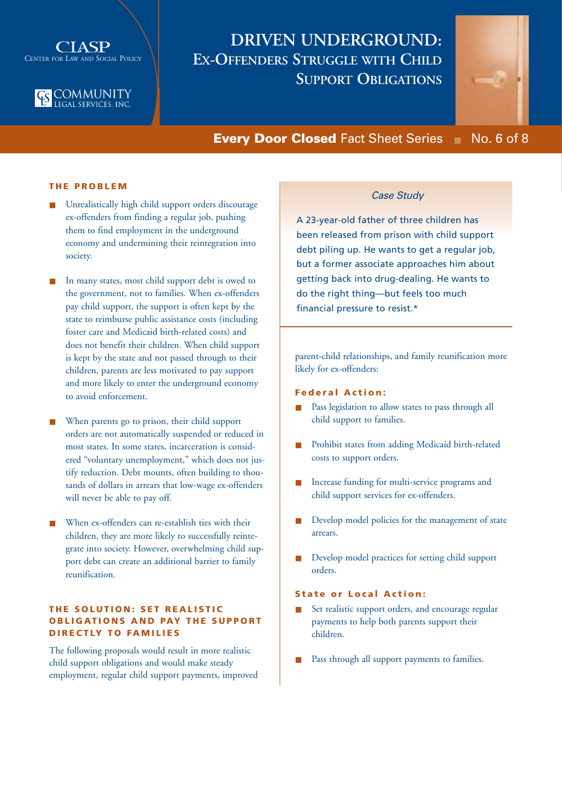



## **DRIVEN UNDERGROUND: EX-OFFENDERS STRUGGLE WITH CHILD SUPPORT OBLIGATIONS**



## **Every Door Closed** Fact Sheet Series ■ No. 6 of 8

### **THE PROBLEM**

- Unrealistically high child support orders discourage ex-offenders from finding a regular job, pushing them to find employment in the underground economy and undermining their reintegration into society.
- In many states, most child support debt is owed to the government, not to families. When ex-offenders pay child support, the support is often kept by the state to reimburse public assistance costs (including foster care and Medicaid birth-related costs) and does not benefit their children. When child support is kept by the state and not passed through to their children, parents are less motivated to pay support and more likely to enter the underground economy to avoid enforcement.
- When parents go to prison, their child support orders are not automatically suspended or reduced in most states. In some states, incarceration is considered "voluntary unemployment," which does not justify reduction. Debt mounts, often building to thousands of dollars in arrears that low-wage ex-offenders will never be able to pay off.
- When ex-offenders can re-establish ties with their children, they are more likely to successfully reintegrate into society. However, overwhelming child support debt can create an additional barrier to family reunification.

## **THE SOLUTION: SET REALISTIC OBLIGATIONS AND PAY THE SUPPORT DIRECTLY TO FAMILIES**

The following proposals would result in more realistic child support obligations and would make steady employment, regular child support payments, improved

## *Case Study*

A 23-year-old father of three children has been released from prison with child support debt piling up. He wants to get a regular job, but a former associate approaches him about getting back into drug-dealing. He wants to do the right thing—but feels too much financial pressure to resist.\*

parent-child relationships, and family reunification more likely for ex-offenders:

## **Federal Action:**

- Pass legislation to allow states to pass through all child support to families.
- Prohibit states from adding Medicaid birth-related costs to support orders.
- Increase funding for multi-service programs and child support services for ex-offenders.
- Develop model policies for the management of state arrears.
- Develop model practices for setting child support orders.

### **State or Local Action:**

- Set realistic support orders, and encourage regular payments to help both parents support their children.
- Pass through all support payments to families.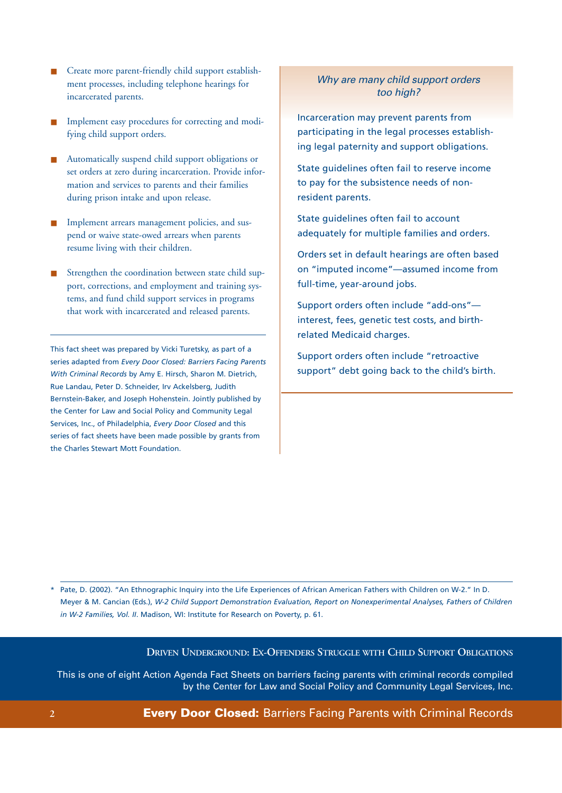- Create more parent-friendly child support establishment processes, including telephone hearings for incarcerated parents.
- Implement easy procedures for correcting and modifying child support orders.
- Automatically suspend child support obligations or set orders at zero during incarceration. Provide information and services to parents and their families during prison intake and upon release.
- Implement arrears management policies, and suspend or waive state-owed arrears when parents resume living with their children.
- Strengthen the coordination between state child support, corrections, and employment and training systems, and fund child support services in programs that work with incarcerated and released parents.

This fact sheet was prepared by Vicki Turetsky, as part of a series adapted from *Every Door Closed: Barriers Facing Parents With Criminal Records* by Amy E. Hirsch, Sharon M. Dietrich, Rue Landau, Peter D. Schneider, Irv Ackelsberg, Judith Bernstein-Baker, and Joseph Hohenstein. Jointly published by the Center for Law and Social Policy and Community Legal Services, Inc., of Philadelphia, *Every Door Closed* and this series of fact sheets have been made possible by grants from the Charles Stewart Mott Foundation.

## *Why are many child support orders too high?*

Incarceration may prevent parents from participating in the legal processes establishing legal paternity and support obligations.

State guidelines often fail to reserve income to pay for the subsistence needs of nonresident parents.

State guidelines often fail to account adequately for multiple families and orders.

Orders set in default hearings are often based on "imputed income"—assumed income from full-time, year-around jobs.

Support orders often include "add-ons" interest, fees, genetic test costs, and birthrelated Medicaid charges.

Support orders often include "retroactive support" debt going back to the child's birth.

\* Pate, D. (2002). "An Ethnographic Inquiry into the Life Experiences of African American Fathers with Children on W-2." In D. Meyer & M. Cancian (Eds.), *W-2 Child Support Demonstration Evaluation, Report on Nonexperimental Analyses, Fathers of Children in W-2 Families, Vol. II*. Madison, WI: Institute for Research on Poverty, p. 61.

**DRIVEN UNDERGROUND: EX-OFFENDERS STRUGGLE WITH CHILD SUPPORT OBLIGATIONS**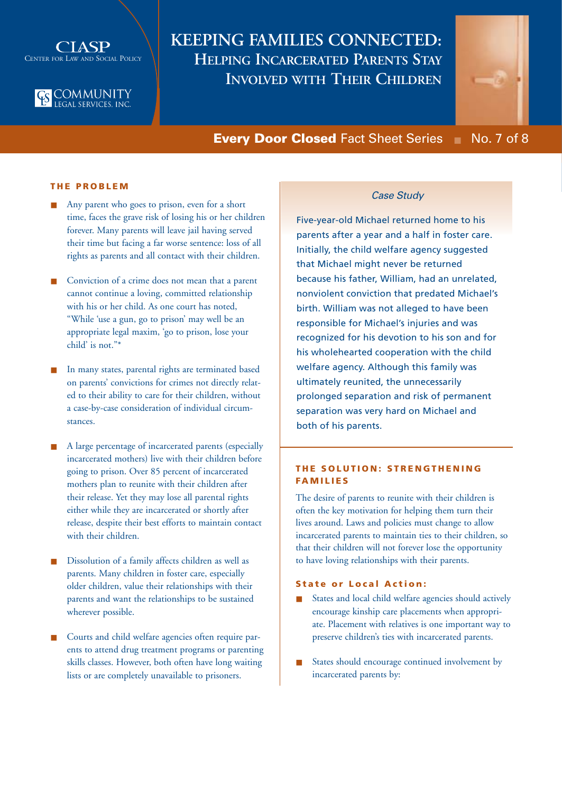

# **ES COMMUNITY**<br>LEGAL SERVICES, INC.

## **KEEPING FAMILIES CONNECTED: HELPING INCARCERATED PARENTS STAY INVOLVED WITH THEIR CHILDREN**



**Every Door Closed** Fact Sheet Series ■ No. 7 of 8

## **THE PROBLEM**

- Any parent who goes to prison, even for a short time, faces the grave risk of losing his or her children forever. Many parents will leave jail having served their time but facing a far worse sentence: loss of all rights as parents and all contact with their children.
- Conviction of a crime does not mean that a parent cannot continue a loving, committed relationship with his or her child. As one court has noted, "While 'use a gun, go to prison' may well be an appropriate legal maxim, 'go to prison, lose your child' is not."\*
- In many states, parental rights are terminated based on parents' convictions for crimes not directly related to their ability to care for their children, without a case-by-case consideration of individual circumstances.
- A large percentage of incarcerated parents (especially incarcerated mothers) live with their children before going to prison. Over 85 percent of incarcerated mothers plan to reunite with their children after their release. Yet they may lose all parental rights either while they are incarcerated or shortly after release, despite their best efforts to maintain contact with their children.
- Dissolution of a family affects children as well as parents. Many children in foster care, especially older children, value their relationships with their parents and want the relationships to be sustained wherever possible.
- Courts and child welfare agencies often require parents to attend drug treatment programs or parenting skills classes. However, both often have long waiting lists or are completely unavailable to prisoners.

## *Case Study*

Five-year-old Michael returned home to his parents after a year and a half in foster care. Initially, the child welfare agency suggested that Michael might never be returned because his father, William, had an unrelated, nonviolent conviction that predated Michael's birth. William was not alleged to have been responsible for Michael's injuries and was recognized for his devotion to his son and for his wholehearted cooperation with the child welfare agency. Although this family was ultimately reunited, the unnecessarily prolonged separation and risk of permanent separation was very hard on Michael and both of his parents.

## **THE SOLUTION: STRENGTHENING FAMILIES**

The desire of parents to reunite with their children is often the key motivation for helping them turn their lives around. Laws and policies must change to allow incarcerated parents to maintain ties to their children, so that their children will not forever lose the opportunity to have loving relationships with their parents.

#### **State or Local Action:**

- States and local child welfare agencies should actively encourage kinship care placements when appropriate. Placement with relatives is one important way to preserve children's ties with incarcerated parents.
- States should encourage continued involvement by incarcerated parents by: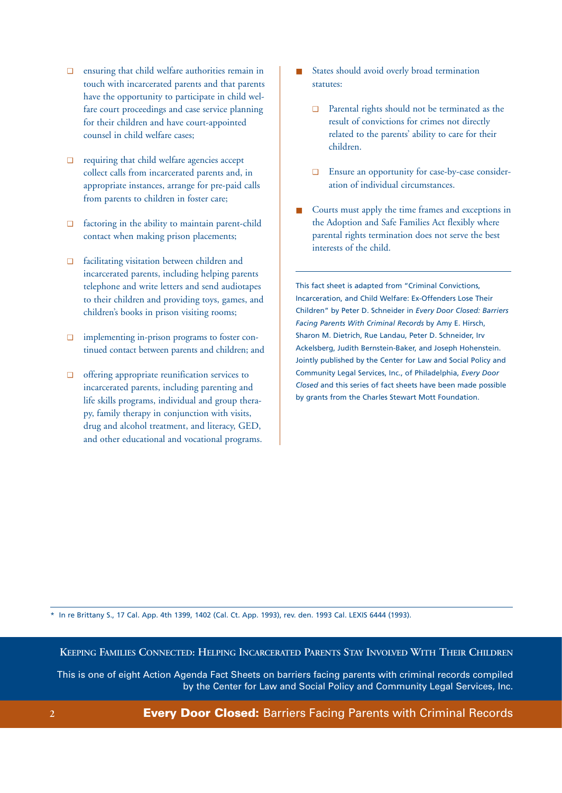- ❑ ensuring that child welfare authorities remain in touch with incarcerated parents and that parents have the opportunity to participate in child welfare court proceedings and case service planning for their children and have court-appointed counsel in child welfare cases;
- ❑ requiring that child welfare agencies accept collect calls from incarcerated parents and, in appropriate instances, arrange for pre-paid calls from parents to children in foster care;
- ❑ factoring in the ability to maintain parent-child contact when making prison placements;
- ❑ facilitating visitation between children and incarcerated parents, including helping parents telephone and write letters and send audiotapes to their children and providing toys, games, and children's books in prison visiting rooms;
- ❑ implementing in-prison programs to foster continued contact between parents and children; and
- ❑ offering appropriate reunification services to incarcerated parents, including parenting and life skills programs, individual and group therapy, family therapy in conjunction with visits, drug and alcohol treatment, and literacy, GED, and other educational and vocational programs.
- States should avoid overly broad termination statutes:
	- ❑ Parental rights should not be terminated as the result of convictions for crimes not directly related to the parents' ability to care for their children.
	- ❑ Ensure an opportunity for case-by-case consideration of individual circumstances.
- Courts must apply the time frames and exceptions in the Adoption and Safe Families Act flexibly where parental rights termination does not serve the best interests of the child.

This fact sheet is adapted from "Criminal Convictions, Incarceration, and Child Welfare: Ex-Offenders Lose Their Children" by Peter D. Schneider in *Every Door Closed: Barriers Facing Parents With Criminal Records* by Amy E. Hirsch, Sharon M. Dietrich, Rue Landau, Peter D. Schneider, Irv Ackelsberg, Judith Bernstein-Baker, and Joseph Hohenstein. Jointly published by the Center for Law and Social Policy and Community Legal Services, Inc., of Philadelphia, *Every Door Closed* and this series of fact sheets have been made possible by grants from the Charles Stewart Mott Foundation.

\* In re Brittany S., 17 Cal. App. 4th 1399, 1402 (Cal. Ct. App. 1993), rev. den. 1993 Cal. LEXIS 6444 (1993).

**KEEPING FAMILIES CONNECTED: HELPING INCARCERATED PARENTS STAY INVOLVED WITH THEIR CHILDREN**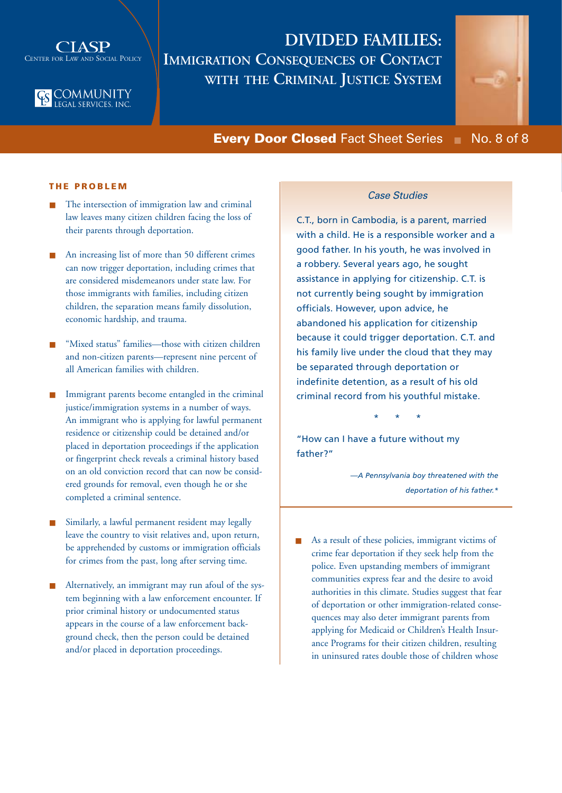



## **DIVIDED FAMILIES: IMMIGRATION CONSEQUENCES OF CONTACT WITH THE CRIMINAL JUSTICE SYSTEM**



**Every Door Closed** Fact Sheet Series ■ No. 8 of 8

## **THE PROBLEM**

- The intersection of immigration law and criminal law leaves many citizen children facing the loss of their parents through deportation.
- An increasing list of more than 50 different crimes can now trigger deportation, including crimes that are considered misdemeanors under state law. For those immigrants with families, including citizen children, the separation means family dissolution, economic hardship, and trauma.
- "Mixed status" families—those with citizen children and non-citizen parents—represent nine percent of all American families with children.
- Immigrant parents become entangled in the criminal justice/immigration systems in a number of ways. An immigrant who is applying for lawful permanent residence or citizenship could be detained and/or placed in deportation proceedings if the application or fingerprint check reveals a criminal history based on an old conviction record that can now be considered grounds for removal, even though he or she completed a criminal sentence.
- Similarly, a lawful permanent resident may legally leave the country to visit relatives and, upon return, be apprehended by customs or immigration officials for crimes from the past, long after serving time.
- Alternatively, an immigrant may run afoul of the system beginning with a law enforcement encounter. If prior criminal history or undocumented status appears in the course of a law enforcement background check, then the person could be detained and/or placed in deportation proceedings.

### *Case Studies*

C.T., born in Cambodia, is a parent, married with a child. He is a responsible worker and a good father. In his youth, he was involved in a robbery. Several years ago, he sought assistance in applying for citizenship. C.T. is not currently being sought by immigration officials. However, upon advice, he abandoned his application for citizenship because it could trigger deportation. C.T. and his family live under the cloud that they may be separated through deportation or indefinite detention, as a result of his old criminal record from his youthful mistake.

\* \* \*

"How can I have a future without my father?"

> *—A Pennsylvania boy threatened with the deportation of his father.\**

As a result of these policies, immigrant victims of crime fear deportation if they seek help from the police. Even upstanding members of immigrant communities express fear and the desire to avoid authorities in this climate. Studies suggest that fear of deportation or other immigration-related consequences may also deter immigrant parents from applying for Medicaid or Children's Health Insurance Programs for their citizen children, resulting in uninsured rates double those of children whose